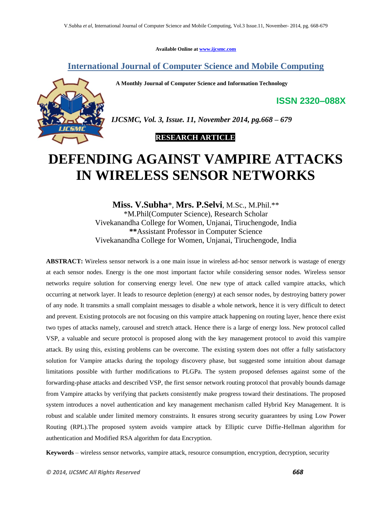**Available Online at [www.ijcsmc.com](http://www.ijcsmc.com/)**

## **International Journal of Computer Science and Mobile Computing**

 **A Monthly Journal of Computer Science and Information Technology**



*IJCSMC, Vol. 3, Issue. 11, November 2014, pg.668 – 679*

## **RESEARCH ARTICLE**

# **DEFENDING AGAINST VAMPIRE ATTACKS IN WIRELESS SENSOR NETWORKS**

**Miss. V.Subha**\*, **Mrs. P.Selvi**, M.Sc., M.Phil.\*\* \*M.Phil(Computer Science), Research Scholar Vivekanandha College for Women, Unjanai, Tiruchengode, India **\*\***Assistant Professor in Computer Science Vivekanandha College for Women, Unjanai, Tiruchengode, India

**ABSTRACT:** Wireless sensor network is a one main issue in wireless ad-hoc sensor network is wastage of energy at each sensor nodes. Energy is the one most important factor while considering sensor nodes. Wireless sensor networks require solution for conserving energy level. One new type of attack called vampire attacks, which occurring at network layer. It leads to resource depletion (energy) at each sensor nodes, by destroying battery power of any node. It transmits a small complaint messages to disable a whole network, hence it is very difficult to detect and prevent. Existing protocols are not focusing on this vampire attack happening on routing layer, hence there exist two types of attacks namely, carousel and stretch attack. Hence there is a large of energy loss. New protocol called VSP, a valuable and secure protocol is proposed along with the key management protocol to avoid this vampire attack. By using this, existing problems can be overcome. The existing system does not offer a fully satisfactory solution for Vampire attacks during the topology discovery phase, but suggested some intuition about damage limitations possible with further modifications to PLGPa. The system proposed defenses against some of the forwarding-phase attacks and described VSP, the first sensor network routing protocol that provably bounds damage from Vampire attacks by verifying that packets consistently make progress toward their destinations. The proposed system introduces a novel authentication and key management mechanism called Hybrid Key Management. It is robust and scalable under limited memory constraints. It ensures strong security guarantees by using Low Power Routing (RPL).The proposed system avoids vampire attack by Elliptic curve Diffie-Hellman algorithm for authentication and Modified RSA algorithm for data Encryption.

**Keywords** – wireless sensor networks, vampire attack, resource consumption, encryption, decryption, security

**ISSN 2320–088X**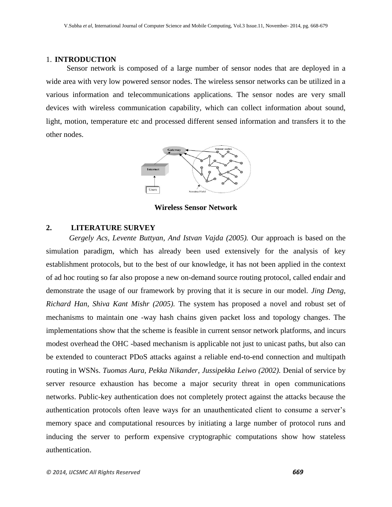#### 1. **INTRODUCTION**

Sensor network is composed of a large number of sensor nodes that are deployed in a wide area with very low powered sensor nodes. The wireless sensor networks can be utilized in a various information and telecommunications applications. The sensor nodes are very small devices with wireless communication capability, which can collect information about sound, light, motion, temperature etc and processed different sensed information and transfers it to the other nodes.



**Wireless Sensor Network**

#### **2. LITERATURE SURVEY**

*Gergely Acs, Levente Buttyan, And Istvan Vajda (2005).* Our approach is based on the simulation paradigm, which has already been used extensively for the analysis of key establishment protocols, but to the best of our knowledge, it has not been applied in the context of ad hoc routing so far also propose a new on-demand source routing protocol, called endair and demonstrate the usage of our framework by proving that it is secure in our model. *Jing Deng, Richard Han, Shiva Kant Mishr (2005).* The system has proposed a novel and robust set of mechanisms to maintain one -way hash chains given packet loss and topology changes. The implementations show that the scheme is feasible in current sensor network platforms, and incurs modest overhead the OHC -based mechanism is applicable not just to unicast paths, but also can be extended to counteract PDoS attacks against a reliable end-to-end connection and multipath routing in WSNs. *Tuomas Aura, Pekka Nikander, Jussipekka Leiwo (2002).* Denial of service by server resource exhaustion has become a major security threat in open communications networks. Public-key authentication does not completely protect against the attacks because the authentication protocols often leave ways for an unauthenticated client to consume a server"s memory space and computational resources by initiating a large number of protocol runs and inducing the server to perform expensive cryptographic computations show how stateless authentication.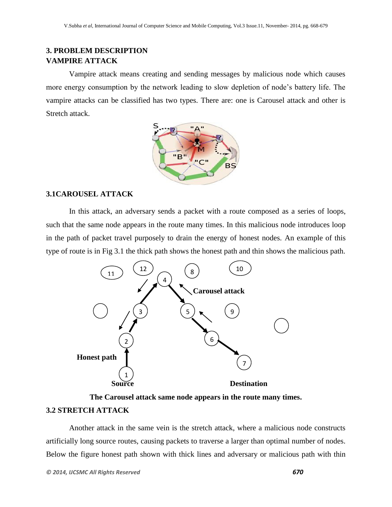# **3. PROBLEM DESCRIPTION VAMPIRE ATTACK**

Vampire attack means creating and sending messages by malicious node which causes more energy consumption by the network leading to slow depletion of node"s battery life. The vampire attacks can be classified has two types. There are: one is Carousel attack and other is Stretch attack.



## **3.1CAROUSEL ATTACK**

In this attack, an adversary sends a packet with a route composed as a series of loops, such that the same node appears in the route many times. In this malicious node introduces loop in the path of packet travel purposely to drain the energy of honest nodes. An example of this type of route is in Fig 3.1 the thick path shows the honest path and thin shows the malicious path.



**The Carousel attack same node appears in the route many times.**

## **3.2 STRETCH ATTACK**

Another attack in the same vein is the stretch attack, where a malicious node constructs artificially long source routes, causing packets to traverse a larger than optimal number of nodes. Below the figure honest path shown with thick lines and adversary or malicious path with thin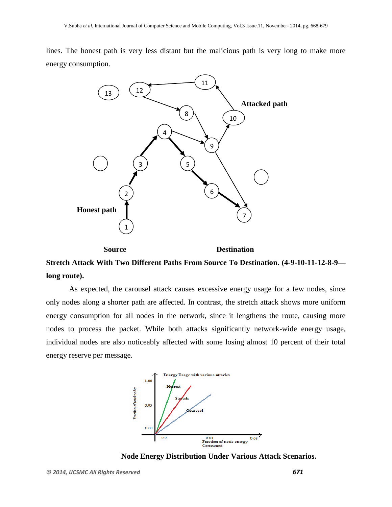lines. The honest path is very less distant but the malicious path is very long to make more energy consumption.



**Stretch Attack With Two Different Paths From Source To Destination. (4-9-10-11-12-8-9 long route).**

As expected, the carousel attack causes excessive energy usage for a few nodes, since only nodes along a shorter path are affected. In contrast, the stretch attack shows more uniform energy consumption for all nodes in the network, since it lengthens the route, causing more nodes to process the packet. While both attacks significantly network-wide energy usage, individual nodes are also noticeably affected with some losing almost 10 percent of their total energy reserve per message.



**Node Energy Distribution Under Various Attack Scenarios.**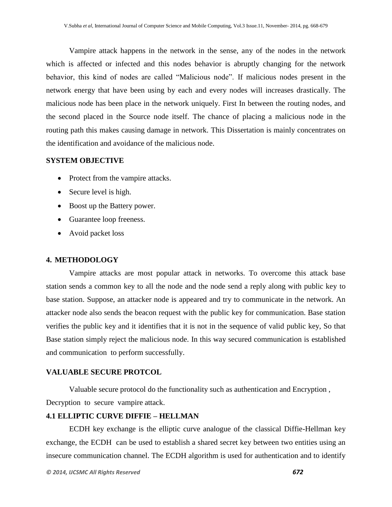Vampire attack happens in the network in the sense, any of the nodes in the network which is affected or infected and this nodes behavior is abruptly changing for the network behavior, this kind of nodes are called "Malicious node". If malicious nodes present in the network energy that have been using by each and every nodes will increases drastically. The malicious node has been place in the network uniquely. First In between the routing nodes, and the second placed in the Source node itself. The chance of placing a malicious node in the routing path this makes causing damage in network. This Dissertation is mainly concentrates on the identification and avoidance of the malicious node.

### **SYSTEM OBJECTIVE**

- Protect from the vampire attacks.
- Secure level is high.
- Boost up the Battery power.
- Guarantee loop freeness.
- Avoid packet loss

### **4. METHODOLOGY**

Vampire attacks are most popular attack in networks. To overcome this attack base station sends a common key to all the node and the node send a reply along with public key to base station. Suppose, an attacker node is appeared and try to communicate in the network. An attacker node also sends the beacon request with the public key for communication. Base station verifies the public key and it identifies that it is not in the sequence of valid public key, So that Base station simply reject the malicious node. In this way secured communication is established and communication to perform successfully.

### **VALUABLE SECURE PROTCOL**

Valuable secure protocol do the functionality such as authentication and Encryption , Decryption to secure vampire attack.

## **4.1 ELLIPTIC CURVE DIFFIE – HELLMAN**

ECDH key exchange is the elliptic curve analogue of the classical Diffie-Hellman key exchange, the ECDH can be used to establish a shared secret key between two entities using an insecure communication channel. The ECDH algorithm is used for authentication and to identify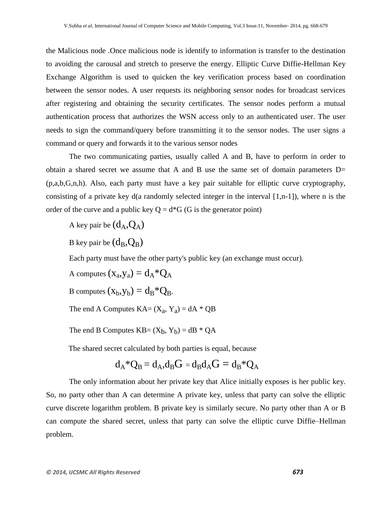the Malicious node .Once malicious node is identify to information is transfer to the destination to avoiding the carousal and stretch to preserve the energy. Elliptic Curve Diffie-Hellman Key Exchange Algorithm is used to quicken the key verification process based on coordination between the sensor nodes. A user requests its neighboring sensor nodes for broadcast services after registering and obtaining the security certificates. The sensor nodes perform a mutual authentication process that authorizes the WSN access only to an authenticated user. The user needs to sign the command/query before transmitting it to the sensor nodes. The user signs a command or query and forwards it to the various sensor nodes

The two communicating parties, usually called A and B, have to perform in order to obtain a shared secret we assume that A and B use the same set of domain parameters D= (p,a,b,G,n,h). Also, each party must have a key pair suitable for elliptic curve cryptography, consisting of a private key d(a randomly selected integer in the interval [1,n-1]), where n is the order of the curve and a public key  $Q = d*G$  (G is the generator point)

A key pair be  $(d_A, Q_A)$ 

B key pair be  $(d_B,Q_B)$ 

Each party must have the other party's public key (an exchange must occur).

A computes  $(x_a, y_a) = d_A * Q_A$ 

B computes  $(x_b, y_b) = d_B * Q_B$ .

The end A Computes  $KA = (X_a, Y_a) = dA * QB$ 

The end B Computes  $KB = (X_b, Y_b) = dB * QA$ 

The shared secret calculated by both parties is equal, because

$$
d_A*Q_B=d_A, d_BG=d_Bd_AG=d_B*Q_A
$$

The only information about her private key that Alice initially exposes is her public key. So, no party other than A can determine A private key, unless that party can solve the elliptic curve [discrete logarithm](http://en.wikipedia.org/wiki/Discrete_logarithm) problem. B private key is similarly secure. No party other than A or B can compute the shared secret, unless that party can solve the elliptic curve [Diffie–Hellman](http://en.wikipedia.org/wiki/Diffie%E2%80%93Hellman_problem)  [problem.](http://en.wikipedia.org/wiki/Diffie%E2%80%93Hellman_problem)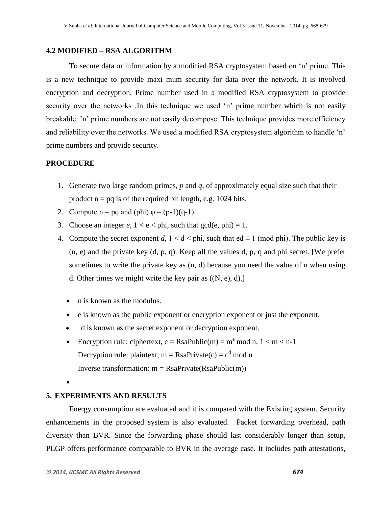#### **4.2 MODIFIED – RSA ALGORITHM**

To secure data or information by a modified RSA cryptosystem based on "n" prime. This is a new technique to provide maxi mum security for data over the network. It is involved encryption and decryption. Prime number used in a modified RSA cryptosystem to provide security over the networks. In this technique we used 'n' prime number which is not easily breakable. "n" prime numbers are not easily decompose. This technique provides more efficiency and reliability over the networks. We used a modified RSA cryptosystem algorithm to handle 'n' prime numbers and provide security.

### **PROCEDURE**

- 1. Generate two large random primes, *p* and *q*, of approximately equal size such that their product  $n = pq$  is of the required bit length, e.g. 1024 bits.
- 2. Compute  $n = pq$  and (phi)  $\varphi = (p-1)(q-1)$ .
- 3. Choose an integer  $e$ ,  $1 < e <$  phi, such that  $gcd(e, phi) = 1$ .
- 4. Compute the secret exponent *d*,  $1 \le d \le \text{phi}$ , such that ed  $\equiv 1 \pmod{\text{phi}}$ . The public key is (n, e) and the private key (d, p, q). Keep all the values d, p, q and phi secret. [We prefer sometimes to write the private key as (n, d) because you need the value of n when using d. Other times we might write the key pair as  $((N, e), d)$ .
	- n is known as the modulus.
	- e is known as the public exponent or encryption exponent or just the exponent.
	- d is known as the secret exponent or decryption exponent.
	- Encryption rule: ciphertext,  $c =$ RsaPublic(m) = m<sup>e</sup> mod n, 1 < m < n-1 Decryption rule: plaintext,  $m = RasaPrivate(c) = c<sup>d</sup> mod n$ Inverse transformation:  $m =$  RsaPrivate(RsaPublic(m))
	- $\bullet$

## **5. EXPERIMENTS AND RESULTS**

Energy consumption are evaluated and it is compared with the Existing system. Security enhancements in the proposed system is also evaluated. Packet forwarding overhead, path diversity than BVR. Since the forwarding phase should last considerably longer than setup, PLGP offers performance comparable to BVR in the average case. It includes path attestations,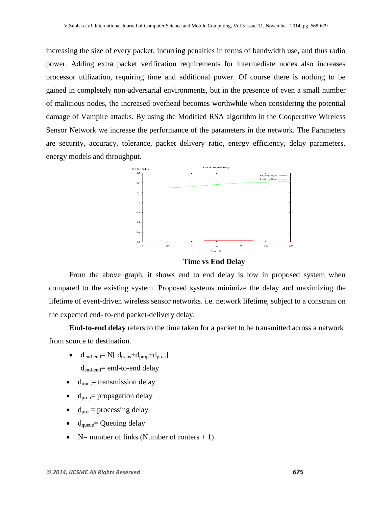increasing the size of every packet, incurring penalties in terms of bandwidth use, and thus radio power. Adding extra packet verification requirements for intermediate nodes also increases processor utilization, requiring time and additional power. Of course there is nothing to be gained in completely non-adversarial environments, but in the presence of even a small number of malicious nodes, the increased overhead becomes worthwhile when considering the potential damage of Vampire attacks. By using the Modified RSA algorithm in the Cooperative Wireless Sensor Network we increase the performance of the parameters in the network. The Parameters are security, accuracy, tolerance, packet delivery ratio, energy efficiency, delay parameters, energy models and throughput.



**Time vs End Delay**

From the above graph, it shows end to end delay is low in proposed system when compared to the existing system. Proposed systems minimize the delay and maximizing the lifetime of event-driven wireless sensor networks. i.e. network lifetime, subject to a constrain on the expected end*-* to*-*end packet-delivery delay.

**End-to-end delay** refers to the time taken for a [packet](http://en.wikipedia.org/wiki/Packet_%28information_technology%29) to be transmitted across a [network](http://en.wikipedia.org/wiki/Computer_network) from source to destination.

- $\bullet$  d<sub>end-end</sub>= N[ d<sub>trans</sub>+d<sub>prop</sub>+d<sub>proc</sub>] dend-end= end-to-end delay
- $d<sub>trans</sub> =$  [transmission delay](http://en.wikipedia.org/wiki/Transmission_delay)
- $d_{\text{proo}}$ = [propagation delay](http://en.wikipedia.org/wiki/Propagation_delay)
- $d_{\text{proc}}$ = [processing delay](http://en.wikipedia.org/wiki/Processing_delay)
- $d_{\text{queue}}$  [Queuing delay](http://en.wikipedia.org/wiki/Queuing_delay)
- $N=$  number of links (Number of routers  $+1$ ).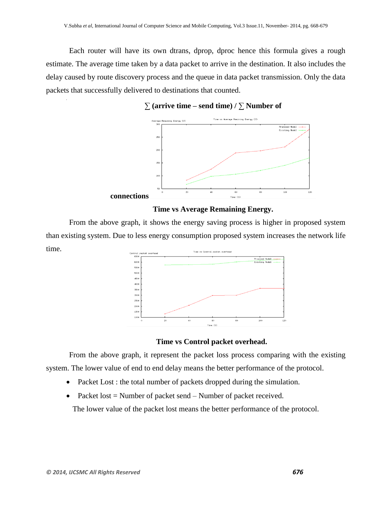Each router will have its own dtrans, dprop, dproc hence this formula gives a rough estimate. The average time taken by a data packet to arrive in the destination. It also includes the delay caused by route discovery process and the queue in data packet transmission. Only the data packets that successfully delivered to destinations that counted.  $\ddot{\phantom{0}}$ 

## $∑$  (arrive time – send time)  $/∑$  Number of



### **Time vs Average Remaining Energy.**

From the above graph, it shows the energy saving process is higher in proposed system than existing system. Due to less energy consumption proposed system increases the network life time. Time vs Control packet overhe Control packet



## **Time vs Control packet overhead.**

From the above graph, it represent the packet loss process comparing with the existing system. The lower value of end to end delay means the better performance of the protocol.

- Packet Lost : the total number of packets dropped during the simulation.
- Packet lost  $=$  Number of packet send  $-$  Number of packet received.

The lower value of the packet lost means the better performance of the protocol.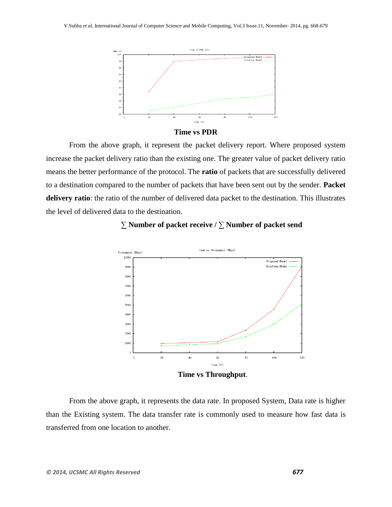

**Time vs PDR**

From the above graph, it represent the packet delivery report. Where proposed system increase the packet delivery ratio than the existing one. The greater value of packet delivery ratio means the better performance of the protocol. The **ratio** of packets that are successfully delivered to a destination compared to the number of packets that have been sent out by the sender. **Packet delivery ratio**: the ratio of the number of delivered data packet to the destination. This illustrates the level of delivered data to the destination.



## ∑ **Number of packet receive /** ∑ **Number of packet send**

**Time vs Throughput**.

From the above graph, it represents the data rate. In proposed System, Data rate is higher than the Existing system. The data transfer rate is commonly used to measure how fast [data](http://www.techterms.com/definition/data) is transferred from one location to another.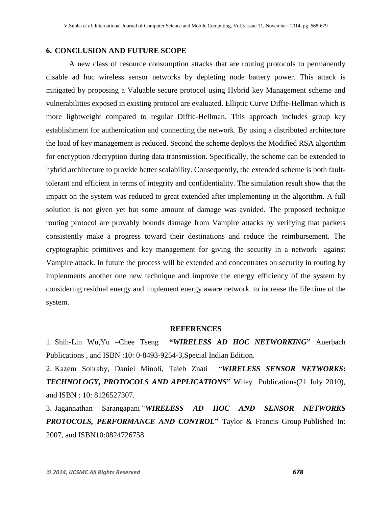## **6. CONCLUSION AND FUTURE SCOPE**

A new class of resource consumption attacks that are routing protocols to permanently disable ad hoc wireless sensor networks by depleting node battery power. This attack is mitigated by proposing a Valuable secure protocol using Hybrid key Management scheme and vulnerabilities exposed in existing protocol are evaluated. Elliptic Curve Diffie-Hellman which is more lightweight compared to regular Diffie-Hellman. This approach includes group key establishment for authentication and connecting the network. By using a distributed architecture the load of key management is reduced. Second the scheme deploys the Modified RSA algorithm for encryption /decryption during data transmission. Specifically, the scheme can be extended to hybrid architecture to provide better scalability. Consequently, the extended scheme is both faulttolerant and efficient in terms of integrity and confidentiality. The simulation result show that the impact on the system was reduced to great extended after implementing in the algorithm. A full solution is not given yet but some amount of damage was avoided. The proposed technique routing protocol are provably bounds damage from Vampire attacks by verifying that packets consistently make a progress toward their destinations and reduce the reimbursement. The cryptographic primitives and key management for giving the security in a network against Vampire attack. In future the process will be extended and concentrates on security in routing by implenments another one new technique and improve the energy efficiency of the system by considering residual energy and implement energy aware network to increase the life time of the system.

#### **REFERENCES**

1. Shih-Lin Wu, Yu –Chee Tseng 
"WIRELESS AD HOC NETWORKING" Auerbach Publications , and ISBN :10: 0-8493-9254-3,Special Indian Edition.

2. Kazem Sohraby, [Daniel Minoli,](http://www.amazon.in/s/ref=dp_byline_sr_book_2?ie=UTF8&field-author=Daniel+Minoli&search-alias=stripbooks) [Taieb Znati](http://www.amazon.in/s/ref=dp_byline_sr_book_3?ie=UTF8&field-author=Taieb+Znati&search-alias=stripbooks) "*WIRELESS SENSOR NETWORKS***:**  *TECHNOLOGY, PROTOCOLS AND APPLICATIONS***‖** Wiley Publications(21 July 2010), and ISBN : 10: 8126527307.

3. Jagannathan Sarangapani "*WIRELESS AD HOC AND SENSOR NETWORKS PROTOCOLS, PERFORMANCE AND CONTROL***‖** Taylor & Francis Group Published In: 2007, and ISBN10:0824726758 .